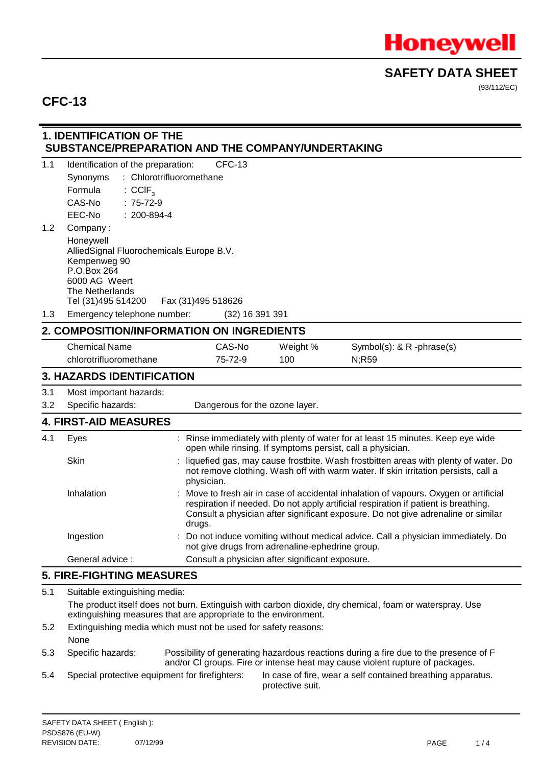

(93/112/EC)

## **CFC-13**

### **1. IDENTIFICATION OF THE SUBSTANCE/PREPARATION AND THE COMPANY/UNDERTAKING**

| 1.1                                                                                                                                                                        | Identification of the preparation:                                                                                                             |            | <b>CFC-13</b>                  |                                                 |                                                                                                                                                                                                                                                                 |
|----------------------------------------------------------------------------------------------------------------------------------------------------------------------------|------------------------------------------------------------------------------------------------------------------------------------------------|------------|--------------------------------|-------------------------------------------------|-----------------------------------------------------------------------------------------------------------------------------------------------------------------------------------------------------------------------------------------------------------------|
|                                                                                                                                                                            | : Chlorotrifluoromethane<br>Synonyms                                                                                                           |            |                                |                                                 |                                                                                                                                                                                                                                                                 |
|                                                                                                                                                                            | Formula<br>$:$ CCIF <sub>3</sub>                                                                                                               |            |                                |                                                 |                                                                                                                                                                                                                                                                 |
|                                                                                                                                                                            | CAS-No<br>$: 75-72-9$                                                                                                                          |            |                                |                                                 |                                                                                                                                                                                                                                                                 |
|                                                                                                                                                                            | $: 200 - 894 - 4$<br>EEC-No                                                                                                                    |            |                                |                                                 |                                                                                                                                                                                                                                                                 |
| 1.2                                                                                                                                                                        | Company:                                                                                                                                       |            |                                |                                                 |                                                                                                                                                                                                                                                                 |
|                                                                                                                                                                            | Honeywell<br>AlliedSignal Fluorochemicals Europe B.V.<br>Kempenweg 90<br>P.O.Box 264<br>6000 AG Weert<br>The Netherlands<br>Tel (31)495 514200 |            | Fax (31)495 518626             |                                                 |                                                                                                                                                                                                                                                                 |
| 1.3                                                                                                                                                                        | Emergency telephone number:                                                                                                                    |            | (32) 16 391 391                |                                                 |                                                                                                                                                                                                                                                                 |
|                                                                                                                                                                            | 2. COMPOSITION/INFORMATION ON INGREDIENTS                                                                                                      |            |                                |                                                 |                                                                                                                                                                                                                                                                 |
|                                                                                                                                                                            | <b>Chemical Name</b>                                                                                                                           |            | CAS-No                         | Weight %                                        | Symbol(s): & R -phrase(s)                                                                                                                                                                                                                                       |
|                                                                                                                                                                            | chlorotrifluoromethane                                                                                                                         |            | 75-72-9                        | 100                                             | N;R59                                                                                                                                                                                                                                                           |
|                                                                                                                                                                            | <b>3. HAZARDS IDENTIFICATION</b>                                                                                                               |            |                                |                                                 |                                                                                                                                                                                                                                                                 |
| 3.1                                                                                                                                                                        | Most important hazards:                                                                                                                        |            |                                |                                                 |                                                                                                                                                                                                                                                                 |
| 3.2                                                                                                                                                                        | Specific hazards:                                                                                                                              |            | Dangerous for the ozone layer. |                                                 |                                                                                                                                                                                                                                                                 |
|                                                                                                                                                                            | <b>4. FIRST-AID MEASURES</b>                                                                                                                   |            |                                |                                                 |                                                                                                                                                                                                                                                                 |
| 4.1                                                                                                                                                                        | Eyes                                                                                                                                           |            |                                |                                                 | : Rinse immediately with plenty of water for at least 15 minutes. Keep eye wide<br>open while rinsing. If symptoms persist, call a physician.                                                                                                                   |
|                                                                                                                                                                            | Skin                                                                                                                                           | physician. |                                |                                                 | liquefied gas, may cause frostbite. Wash frostbitten areas with plenty of water. Do<br>not remove clothing. Wash off with warm water. If skin irritation persists, call a                                                                                       |
|                                                                                                                                                                            | Inhalation                                                                                                                                     | drugs.     |                                |                                                 | Move to fresh air in case of accidental inhalation of vapours. Oxygen or artificial<br>respiration if needed. Do not apply artificial respiration if patient is breathing.<br>Consult a physician after significant exposure. Do not give adrenaline or similar |
|                                                                                                                                                                            | Ingestion                                                                                                                                      |            |                                | not give drugs from adrenaline-ephedrine group. | Do not induce vomiting without medical advice. Call a physician immediately. Do                                                                                                                                                                                 |
|                                                                                                                                                                            | General advice:                                                                                                                                |            |                                | Consult a physician after significant exposure. |                                                                                                                                                                                                                                                                 |
|                                                                                                                                                                            | <b>5. FIRE-FIGHTING MEASURES</b>                                                                                                               |            |                                |                                                 |                                                                                                                                                                                                                                                                 |
| 5.1                                                                                                                                                                        | Suitable extinguishing media:                                                                                                                  |            |                                |                                                 |                                                                                                                                                                                                                                                                 |
| The product itself does not burn. Extinguish with carbon dioxide, dry chemical, foam or waterspray. Use<br>extinguishing measures that are appropriate to the environment. |                                                                                                                                                |            |                                |                                                 |                                                                                                                                                                                                                                                                 |

- 5.2 Extinguishing media which must not be used for safety reasons: None
- 5.3 Specific hazards: Possibility of generating hazardous reactions during a fire due to the presence of F and/or CI groups. Fire or intense heat may cause violent rupture of packages.
- 

5.4 Special protective equipment for firefighters: In case of fire, wear a self contained breathing apparatus. protective suit.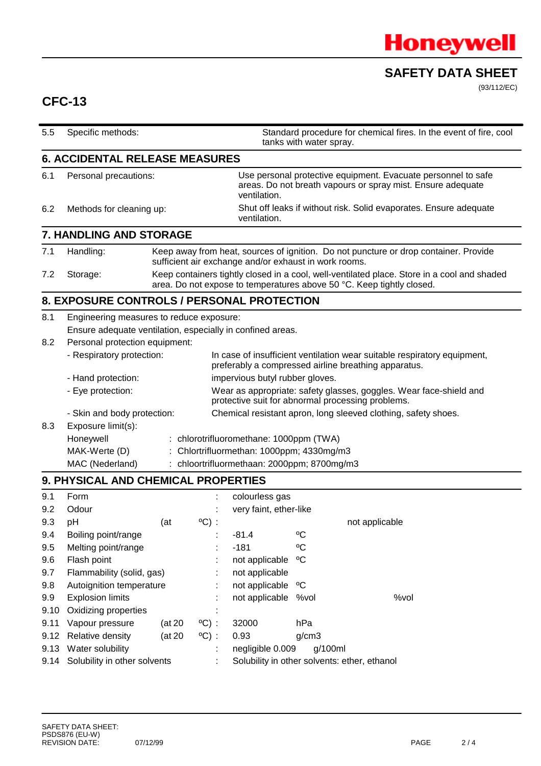

(93/112/EC)

## **CFC-13**

| 5.5  | Specific methods:                                          |                                                                                                                                               |                 |                                                                                                                                              | tanks with water spray.                                                                                                                                              | Standard procedure for chemical fires. In the event of fire, cool                                                                |  |
|------|------------------------------------------------------------|-----------------------------------------------------------------------------------------------------------------------------------------------|-----------------|----------------------------------------------------------------------------------------------------------------------------------------------|----------------------------------------------------------------------------------------------------------------------------------------------------------------------|----------------------------------------------------------------------------------------------------------------------------------|--|
|      | <b>6. ACCIDENTAL RELEASE MEASURES</b>                      |                                                                                                                                               |                 |                                                                                                                                              |                                                                                                                                                                      |                                                                                                                                  |  |
| 6.1  | Personal precautions:                                      |                                                                                                                                               |                 | Use personal protective equipment. Evacuate personnel to safe<br>areas. Do not breath vapours or spray mist. Ensure adequate<br>ventilation. |                                                                                                                                                                      |                                                                                                                                  |  |
| 6.2  | Methods for cleaning up:                                   |                                                                                                                                               |                 | Shut off leaks if without risk. Solid evaporates. Ensure adequate<br>ventilation.                                                            |                                                                                                                                                                      |                                                                                                                                  |  |
|      | 7. HANDLING AND STORAGE                                    |                                                                                                                                               |                 |                                                                                                                                              |                                                                                                                                                                      |                                                                                                                                  |  |
| 7.1  | Handling:                                                  | Keep away from heat, sources of ignition. Do not puncture or drop container. Provide<br>sufficient air exchange and/or exhaust in work rooms. |                 |                                                                                                                                              |                                                                                                                                                                      |                                                                                                                                  |  |
| 7.2  | Storage:                                                   |                                                                                                                                               |                 |                                                                                                                                              | Keep containers tightly closed in a cool, well-ventilated place. Store in a cool and shaded<br>area. Do not expose to temperatures above 50 °C. Keep tightly closed. |                                                                                                                                  |  |
|      | 8. EXPOSURE CONTROLS / PERSONAL PROTECTION                 |                                                                                                                                               |                 |                                                                                                                                              |                                                                                                                                                                      |                                                                                                                                  |  |
| 8.1  | Engineering measures to reduce exposure:                   |                                                                                                                                               |                 |                                                                                                                                              |                                                                                                                                                                      |                                                                                                                                  |  |
|      | Ensure adequate ventilation, especially in confined areas. |                                                                                                                                               |                 |                                                                                                                                              |                                                                                                                                                                      |                                                                                                                                  |  |
| 8.2  | Personal protection equipment:                             |                                                                                                                                               |                 |                                                                                                                                              |                                                                                                                                                                      |                                                                                                                                  |  |
|      | - Respiratory protection:                                  |                                                                                                                                               |                 |                                                                                                                                              |                                                                                                                                                                      | In case of insufficient ventilation wear suitable respiratory equipment,<br>preferably a compressed airline breathing apparatus. |  |
|      | - Hand protection:                                         |                                                                                                                                               |                 | impervious butyl rubber gloves.                                                                                                              |                                                                                                                                                                      |                                                                                                                                  |  |
|      | - Eye protection:                                          |                                                                                                                                               |                 |                                                                                                                                              |                                                                                                                                                                      | Wear as appropriate: safety glasses, goggles. Wear face-shield and<br>protective suit for abnormal processing problems.          |  |
|      | - Skin and body protection:                                |                                                                                                                                               |                 |                                                                                                                                              |                                                                                                                                                                      | Chemical resistant apron, long sleeved clothing, safety shoes.                                                                   |  |
| 8.3  | Exposure limit(s):                                         |                                                                                                                                               |                 |                                                                                                                                              |                                                                                                                                                                      |                                                                                                                                  |  |
|      | Honeywell                                                  |                                                                                                                                               |                 | : chlorotrifluoromethane: 1000ppm (TWA)                                                                                                      |                                                                                                                                                                      |                                                                                                                                  |  |
|      | : Chlortrifluormethan: 1000ppm; 4330mg/m3<br>MAK-Werte (D) |                                                                                                                                               |                 |                                                                                                                                              |                                                                                                                                                                      |                                                                                                                                  |  |
|      | MAC (Nederland)                                            |                                                                                                                                               |                 | : chloortrifluormethaan: 2000ppm; 8700mg/m3                                                                                                  |                                                                                                                                                                      |                                                                                                                                  |  |
|      | 9. PHYSICAL AND CHEMICAL PROPERTIES                        |                                                                                                                                               |                 |                                                                                                                                              |                                                                                                                                                                      |                                                                                                                                  |  |
| 9.1  | Form                                                       |                                                                                                                                               |                 | colourless gas                                                                                                                               |                                                                                                                                                                      |                                                                                                                                  |  |
| 9.2  | Odour                                                      |                                                                                                                                               |                 | very faint, ether-like                                                                                                                       |                                                                                                                                                                      |                                                                                                                                  |  |
| 9.3  | pH                                                         | (at)                                                                                                                                          | $^{\circ}$ C) : |                                                                                                                                              |                                                                                                                                                                      | not applicable                                                                                                                   |  |
| 9.4  | Boiling point/range                                        |                                                                                                                                               |                 | $-81.4$                                                                                                                                      | $\rm ^{o}C$                                                                                                                                                          |                                                                                                                                  |  |
| 9.5  | Melting point/range                                        |                                                                                                                                               |                 | $-181$                                                                                                                                       | °C                                                                                                                                                                   |                                                                                                                                  |  |
| 9.6  | Flash point                                                |                                                                                                                                               |                 | not applicable                                                                                                                               | $\rm ^{o}C$                                                                                                                                                          |                                                                                                                                  |  |
| 9.7  | Flammability (solid, gas)                                  |                                                                                                                                               |                 | not applicable                                                                                                                               |                                                                                                                                                                      |                                                                                                                                  |  |
| 9.8  | Autoignition temperature                                   |                                                                                                                                               |                 | not applicable                                                                                                                               | °C                                                                                                                                                                   |                                                                                                                                  |  |
| 9.9  | <b>Explosion limits</b>                                    |                                                                                                                                               |                 | not applicable %vol                                                                                                                          |                                                                                                                                                                      | %vol                                                                                                                             |  |
| 9.10 | Oxidizing properties                                       |                                                                                                                                               |                 |                                                                                                                                              |                                                                                                                                                                      |                                                                                                                                  |  |
| 9.11 | Vapour pressure                                            | (at 20                                                                                                                                        | $^{\circ}$ C) : | 32000                                                                                                                                        | hPa                                                                                                                                                                  |                                                                                                                                  |  |
| 9.12 | Relative density                                           | (at 20)                                                                                                                                       | $^{\circ}$ C) : | 0.93                                                                                                                                         | g/cm3                                                                                                                                                                |                                                                                                                                  |  |
|      | 9.13 Water solubility                                      |                                                                                                                                               |                 | negligible 0.009                                                                                                                             | g/100ml                                                                                                                                                              |                                                                                                                                  |  |
| 9.14 | Solubility in other solvents                               |                                                                                                                                               |                 | Solubility in other solvents: ether, ethanol                                                                                                 |                                                                                                                                                                      |                                                                                                                                  |  |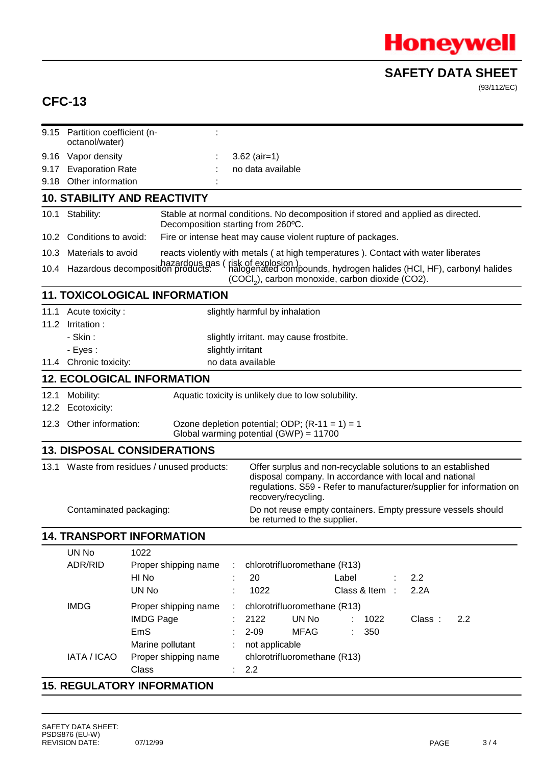

(93/112/EC)

# **CFC-13**

|                     | 9.15 Partition coefficient (n-<br>octanol/water)                                                                                                                                                                                                                      |                                                                                                                                                                                                                   |                                                                                   |  |  |  |  |
|---------------------|-----------------------------------------------------------------------------------------------------------------------------------------------------------------------------------------------------------------------------------------------------------------------|-------------------------------------------------------------------------------------------------------------------------------------------------------------------------------------------------------------------|-----------------------------------------------------------------------------------|--|--|--|--|
| 9.16                | Vapor density                                                                                                                                                                                                                                                         |                                                                                                                                                                                                                   | $3.62$ (air=1)                                                                    |  |  |  |  |
| 9.17                | <b>Evaporation Rate</b>                                                                                                                                                                                                                                               |                                                                                                                                                                                                                   | no data available                                                                 |  |  |  |  |
| 9.18                | Other information                                                                                                                                                                                                                                                     |                                                                                                                                                                                                                   |                                                                                   |  |  |  |  |
|                     |                                                                                                                                                                                                                                                                       | <b>10. STABILITY AND REACTIVITY</b>                                                                                                                                                                               |                                                                                   |  |  |  |  |
| 10.1                | Stability:                                                                                                                                                                                                                                                            | Decomposition starting from 260°C.                                                                                                                                                                                | Stable at normal conditions. No decomposition if stored and applied as directed.  |  |  |  |  |
| 10.2                | Conditions to avoid:                                                                                                                                                                                                                                                  |                                                                                                                                                                                                                   | Fire or intense heat may cause violent rupture of packages.                       |  |  |  |  |
| 10.3                | Materials to avoid                                                                                                                                                                                                                                                    |                                                                                                                                                                                                                   | reacts violently with metals (at high temperatures). Contact with water liberates |  |  |  |  |
|                     |                                                                                                                                                                                                                                                                       | hazardous gas (risk of explosion).<br>10.4 Hazardous decomposition products: (halogenated compounds, hydrogen halides (HCI, HF), carbonyl halides<br>(COCI <sub>2</sub> ), carbon monoxide, carbon dioxide (CO2). |                                                                                   |  |  |  |  |
|                     |                                                                                                                                                                                                                                                                       | <b>11. TOXICOLOGICAL INFORMATION</b>                                                                                                                                                                              |                                                                                   |  |  |  |  |
| 11.1                | Acute toxicity:                                                                                                                                                                                                                                                       |                                                                                                                                                                                                                   | slightly harmful by inhalation                                                    |  |  |  |  |
| Irritation:<br>11.2 |                                                                                                                                                                                                                                                                       |                                                                                                                                                                                                                   |                                                                                   |  |  |  |  |
|                     | - Skin:                                                                                                                                                                                                                                                               |                                                                                                                                                                                                                   | slightly irritant. may cause frostbite.                                           |  |  |  |  |
|                     | - Eyes:                                                                                                                                                                                                                                                               | slightly irritant                                                                                                                                                                                                 |                                                                                   |  |  |  |  |
|                     | 11.4 Chronic toxicity:                                                                                                                                                                                                                                                |                                                                                                                                                                                                                   | no data available                                                                 |  |  |  |  |
|                     |                                                                                                                                                                                                                                                                       | <b>12. ECOLOGICAL INFORMATION</b>                                                                                                                                                                                 |                                                                                   |  |  |  |  |
| 12.1                | Mobility:                                                                                                                                                                                                                                                             |                                                                                                                                                                                                                   | Aquatic toxicity is unlikely due to low solubility.                               |  |  |  |  |
| 12.2                | Ecotoxicity:                                                                                                                                                                                                                                                          |                                                                                                                                                                                                                   |                                                                                   |  |  |  |  |
| 12.3                | Other information:<br>Ozone depletion potential; ODP; $(R-11 = 1) = 1$<br>Global warming potential (GWP) = 11700                                                                                                                                                      |                                                                                                                                                                                                                   |                                                                                   |  |  |  |  |
|                     |                                                                                                                                                                                                                                                                       | <b>13. DISPOSAL CONSIDERATIONS</b>                                                                                                                                                                                |                                                                                   |  |  |  |  |
|                     | Offer surplus and non-recyclable solutions to an established<br>13.1 Waste from residues / unused products:<br>disposal company. In accordance with local and national<br>regulations. S59 - Refer to manufacturer/supplier for information on<br>recovery/recycling. |                                                                                                                                                                                                                   |                                                                                   |  |  |  |  |
|                     | Do not reuse empty containers. Empty pressure vessels should<br>be returned to the supplier.                                                                                                                                                                          |                                                                                                                                                                                                                   |                                                                                   |  |  |  |  |
|                     |                                                                                                                                                                                                                                                                       | <b>14. TRANSPORT INFORMATION</b>                                                                                                                                                                                  |                                                                                   |  |  |  |  |
|                     | UN No                                                                                                                                                                                                                                                                 | 1022                                                                                                                                                                                                              |                                                                                   |  |  |  |  |
|                     | ADR/RID                                                                                                                                                                                                                                                               | Proper shipping name                                                                                                                                                                                              | chlorotrifluoromethane (R13)                                                      |  |  |  |  |
|                     |                                                                                                                                                                                                                                                                       | HI No                                                                                                                                                                                                             | 20<br>Label<br>2.2                                                                |  |  |  |  |
|                     |                                                                                                                                                                                                                                                                       | UN No                                                                                                                                                                                                             | 1022<br>2.2A<br>Class & Item $\therefore$                                         |  |  |  |  |
|                     | <b>IMDG</b>                                                                                                                                                                                                                                                           | Proper shipping name                                                                                                                                                                                              | chlorotrifluoromethane (R13)                                                      |  |  |  |  |
|                     |                                                                                                                                                                                                                                                                       | <b>IMDG Page</b>                                                                                                                                                                                                  | 2122<br>UN No<br>1022<br>2.2<br>Class:                                            |  |  |  |  |
|                     |                                                                                                                                                                                                                                                                       | EmS                                                                                                                                                                                                               | $2 - 09$<br><b>MFAG</b><br>350                                                    |  |  |  |  |
|                     |                                                                                                                                                                                                                                                                       | Marine pollutant                                                                                                                                                                                                  | not applicable                                                                    |  |  |  |  |
|                     | IATA / ICAO                                                                                                                                                                                                                                                           | Proper shipping name                                                                                                                                                                                              | chlorotrifluoromethane (R13)                                                      |  |  |  |  |
|                     |                                                                                                                                                                                                                                                                       | Class                                                                                                                                                                                                             | 2.2                                                                               |  |  |  |  |
|                     |                                                                                                                                                                                                                                                                       | <b>15. REGULATORY INFORMATION</b>                                                                                                                                                                                 |                                                                                   |  |  |  |  |